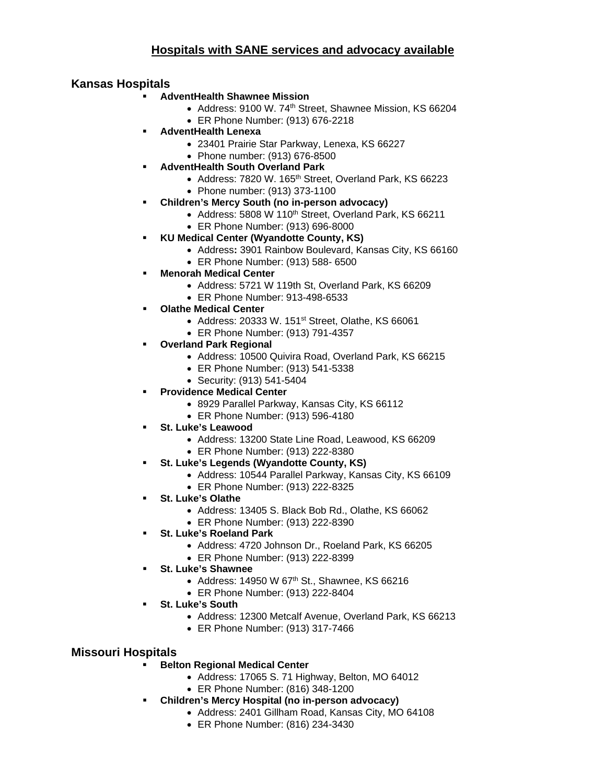## **Hospitals with SANE services and advocacy available**

## **Kansas Hospitals**

- **AdventHealth Shawnee Mission**
	- Address: 9100 W. 74<sup>th</sup> Street, Shawnee Mission, KS 66204
	- ER Phone Number: (913) 676-2218
- **AdventHealth Lenexa**
	- 23401 Prairie Star Parkway, Lenexa, KS 66227
	- Phone number: (913) 676-8500
- **AdventHealth South Overland Park**
	- Address: 7820 W. 165<sup>th</sup> Street, Overland Park, KS 66223
	- Phone number: (913) 373-1100
- **Children's Mercy South (no in-person advocacy)**
	- Address: 5808 W 110<sup>th</sup> Street, Overland Park, KS 66211
	- ER Phone Number: (913) 696-8000
- **KU Medical Center (Wyandotte County, KS)**
	- Address**:** 3901 Rainbow Boulevard, Kansas City, KS 66160
	- ER Phone Number: (913) 588- 6500
- **Menorah Medical Center**
	- Address: 5721 W 119th St, Overland Park, KS 66209
	- ER Phone Number: 913-498-6533
- **Olathe Medical Center**
	- Address: 20333 W. 151 $st$  Street, Olathe, KS 66061
	- ER Phone Number: (913) 791-4357
- **Overland Park Regional**
	- Address: 10500 Quivira Road, Overland Park, KS 66215
	- ER Phone Number: (913) 541-5338
	- Security: (913) 541-5404
- **Providence Medical Center**
	- 8929 Parallel Parkway, Kansas City, KS 66112
	- ER Phone Number: (913) 596-4180
- **St. Luke's Leawood**
	- Address: 13200 State Line Road, Leawood, KS 66209
	- ER Phone Number: (913) 222-8380
- **St. Luke's Legends (Wyandotte County, KS)**
	- Address: 10544 Parallel Parkway, Kansas City, KS 66109
	- ER Phone Number: (913) 222-8325
- **St. Luke's Olathe**
	- Address: 13405 S. Black Bob Rd., Olathe, KS 66062
	- ER Phone Number: (913) 222-8390
- **St. Luke's Roeland Park**
	- Address: 4720 Johnson Dr., Roeland Park, KS 66205
	- ER Phone Number: (913) 222-8399
- **St. Luke's Shawnee**
	- Address: 14950 W  $67<sup>th</sup>$  St., Shawnee, KS  $66216$
	- ER Phone Number: (913) 222-8404
- **St. Luke's South**
	- Address: 12300 Metcalf Avenue, Overland Park, KS 66213
	- ER Phone Number: (913) 317-7466

## **Missouri Hospitals**

## **Belton Regional Medical Center**

- Address: 17065 S. 71 Highway, Belton, MO 64012
- ER Phone Number: (816) 348-1200
- **Children's Mercy Hospital (no in-person advocacy)**
	- Address: 2401 Gillham Road, Kansas City, MO 64108
		- ER Phone Number: (816) 234-3430